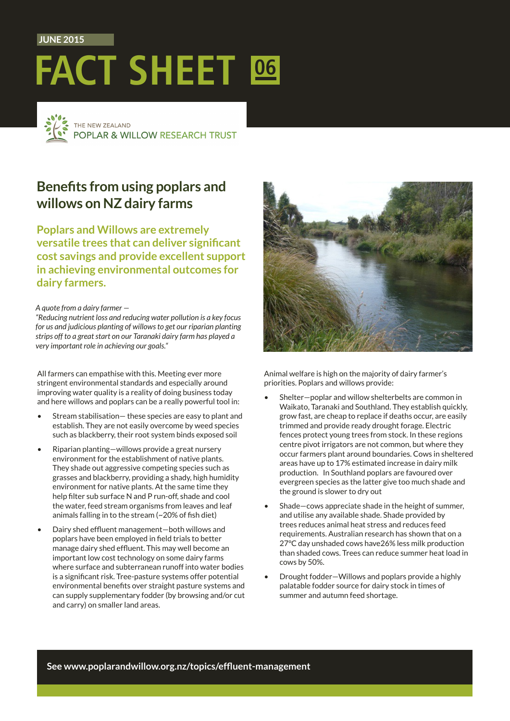#### **JUNE 2015**





# **Benefits from using poplars and willows on NZ dairy farms**

**Poplars and Willows are extremely versatile trees that can deliver significant cost savings and provide excellent support in achieving environmental outcomes for dairy farmers.**

*A quote from a dairy farmer —*

*"Reducing nutrient loss and reducing water pollution is a key focus for us and judicious planting of willows to get our riparian planting strips off to a great start on our Taranaki dairy farm has played a very important role in achieving our goals."*

All farmers can empathise with this. Meeting ever more stringent environmental standards and especially around improving water quality is a reality of doing business today and here willows and poplars can be a really powerful tool in:

- Stream stabilisation— these species are easy to plant and establish. They are not easily overcome by weed species such as blackberry, their root system binds exposed soil
- Riparian planting—willows provide a great nursery environment for the establishment of native plants. They shade out aggressive competing species such as grasses and blackberry, providing a shady, high humidity environment for native plants. At the same time they help filter sub surface N and P run-off, shade and cool the water, feed stream organisms from leaves and leaf animals falling in to the stream (~20% of fish diet)
- Dairy shed effluent management—both willows and poplars have been employed in field trials to better manage dairy shed effluent. This may well become an important low cost technology on some dairy farms where surface and subterranean runoff into water bodies is a significant risk. Tree-pasture systems offer potential environmental benefits over straight pasture systems and can supply supplementary fodder (by browsing and/or cut and carry) on smaller land areas.



Animal welfare is high on the majority of dairy farmer's priorities. Poplars and willows provide:

- Shelter-poplar and willow shelterbelts are common in Waikato, Taranaki and Southland. They establish quickly, grow fast, are cheap to replace if deaths occur, are easily trimmed and provide ready drought forage. Electric fences protect young trees from stock. In these regions centre pivot irrigators are not common, but where they occur farmers plant around boundaries. Cows in sheltered areas have up to 17% estimated increase in dairy milk production. In Southland poplars are favoured over evergreen species as the latter give too much shade and the ground is slower to dry out
- Shade-cows appreciate shade in the height of summer, and utilise any available shade. Shade provided by trees reduces animal heat stress and reduces feed requirements. Australian research has shown that on a 27°C day unshaded cows have26% less milk production than shaded cows. Trees can reduce summer heat load in cows by 50%.
- Drought fodder—Willows and poplars provide a highly palatable fodder source for dairy stock in times of summer and autumn feed shortage.

**See [www.poplarandwillow.org.nz/topics/effluent-management](http://www.poplarandwillow.org.nz/topics/effluent-management)**